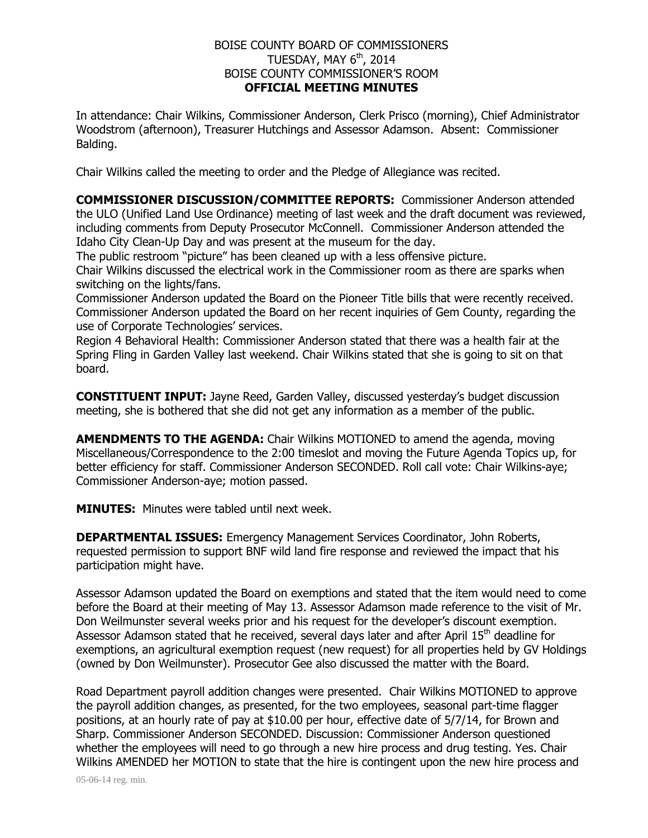## BOISE COUNTY BOARD OF COMMISSIONERS TUESDAY, MAY  $6^{\rm th}$ , 2014 BOISE COUNTY COMMISSIONER'S ROOM **OFFICIAL MEETING MINUTES**

In attendance: Chair Wilkins, Commissioner Anderson, Clerk Prisco (morning), Chief Administrator Woodstrom (afternoon), Treasurer Hutchings and Assessor Adamson. Absent: Commissioner Balding.

Chair Wilkins called the meeting to order and the Pledge of Allegiance was recited.

**COMMISSIONER DISCUSSION/COMMITTEE REPORTS:** Commissioner Anderson attended the ULO (Unified Land Use Ordinance) meeting of last week and the draft document was reviewed, including comments from Deputy Prosecutor McConnell. Commissioner Anderson attended the Idaho City Clean-Up Day and was present at the museum for the day.

The public restroom "picture" has been cleaned up with a less offensive picture. Chair Wilkins discussed the electrical work in the Commissioner room as there are sparks when switching on the lights/fans.

Commissioner Anderson updated the Board on the Pioneer Title bills that were recently received. Commissioner Anderson updated the Board on her recent inquiries of Gem County, regarding the use of Corporate Technologies' services.

Region 4 Behavioral Health: Commissioner Anderson stated that there was a health fair at the Spring Fling in Garden Valley last weekend. Chair Wilkins stated that she is going to sit on that board.

**CONSTITUENT INPUT:** Jayne Reed, Garden Valley, discussed yesterday's budget discussion meeting, she is bothered that she did not get any information as a member of the public.

**AMENDMENTS TO THE AGENDA:** Chair Wilkins MOTIONED to amend the agenda, moving Miscellaneous/Correspondence to the 2:00 timeslot and moving the Future Agenda Topics up, for better efficiency for staff. Commissioner Anderson SECONDED. Roll call vote: Chair Wilkins-aye; Commissioner Anderson-aye; motion passed.

**MINUTES:** Minutes were tabled until next week.

**DEPARTMENTAL ISSUES:** Emergency Management Services Coordinator, John Roberts, requested permission to support BNF wild land fire response and reviewed the impact that his participation might have.

Assessor Adamson updated the Board on exemptions and stated that the item would need to come before the Board at their meeting of May 13. Assessor Adamson made reference to the visit of Mr. Don Weilmunster several weeks prior and his request for the developer's discount exemption. Assessor Adamson stated that he received, several days later and after April  $15<sup>th</sup>$  deadline for exemptions, an agricultural exemption request (new request) for all properties held by GV Holdings (owned by Don Weilmunster). Prosecutor Gee also discussed the matter with the Board.

Road Department payroll addition changes were presented. Chair Wilkins MOTIONED to approve the payroll addition changes, as presented, for the two employees, seasonal part-time flagger positions, at an hourly rate of pay at \$10.00 per hour, effective date of 5/7/14, for Brown and Sharp. Commissioner Anderson SECONDED. Discussion: Commissioner Anderson questioned whether the employees will need to go through a new hire process and drug testing. Yes. Chair Wilkins AMENDED her MOTION to state that the hire is contingent upon the new hire process and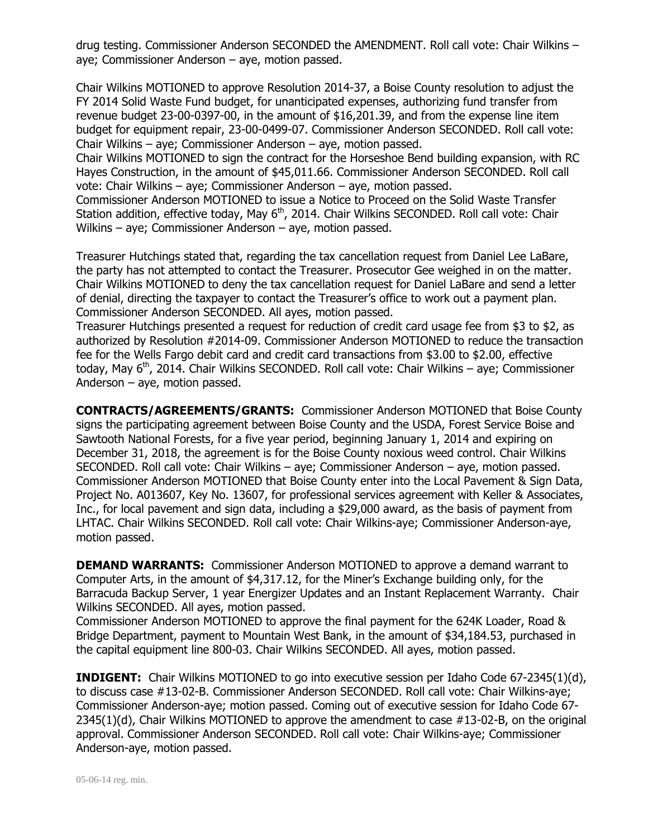drug testing. Commissioner Anderson SECONDED the AMENDMENT. Roll call vote: Chair Wilkins – aye; Commissioner Anderson – aye, motion passed.

Chair Wilkins MOTIONED to approve Resolution 2014-37, a Boise County resolution to adjust the FY 2014 Solid Waste Fund budget, for unanticipated expenses, authorizing fund transfer from revenue budget 23-00-0397-00, in the amount of \$16,201.39, and from the expense line item budget for equipment repair, 23-00-0499-07. Commissioner Anderson SECONDED. Roll call vote: Chair Wilkins – aye; Commissioner Anderson – aye, motion passed.

Chair Wilkins MOTIONED to sign the contract for the Horseshoe Bend building expansion, with RC Hayes Construction, in the amount of \$45,011.66. Commissioner Anderson SECONDED. Roll call vote: Chair Wilkins – aye; Commissioner Anderson – aye, motion passed.

Commissioner Anderson MOTIONED to issue a Notice to Proceed on the Solid Waste Transfer Station addition, effective today, May 6<sup>th</sup>, 2014. Chair Wilkins SECONDED. Roll call vote: Chair Wilkins – aye; Commissioner Anderson – aye, motion passed.

Treasurer Hutchings stated that, regarding the tax cancellation request from Daniel Lee LaBare, the party has not attempted to contact the Treasurer. Prosecutor Gee weighed in on the matter. Chair Wilkins MOTIONED to deny the tax cancellation request for Daniel LaBare and send a letter of denial, directing the taxpayer to contact the Treasurer's office to work out a payment plan. Commissioner Anderson SECONDED. All ayes, motion passed.

Treasurer Hutchings presented a request for reduction of credit card usage fee from \$3 to \$2, as authorized by Resolution #2014-09. Commissioner Anderson MOTIONED to reduce the transaction fee for the Wells Fargo debit card and credit card transactions from \$3.00 to \$2.00, effective today, May  $6<sup>th</sup>$ , 2014. Chair Wilkins SECONDED. Roll call vote: Chair Wilkins – aye; Commissioner Anderson – aye, motion passed.

**CONTRACTS/AGREEMENTS/GRANTS:** Commissioner Anderson MOTIONED that Boise County signs the participating agreement between Boise County and the USDA, Forest Service Boise and Sawtooth National Forests, for a five year period, beginning January 1, 2014 and expiring on December 31, 2018, the agreement is for the Boise County noxious weed control. Chair Wilkins SECONDED. Roll call vote: Chair Wilkins – aye; Commissioner Anderson – aye, motion passed. Commissioner Anderson MOTIONED that Boise County enter into the Local Pavement & Sign Data, Project No. A013607, Key No. 13607, for professional services agreement with Keller & Associates, Inc., for local pavement and sign data, including a \$29,000 award, as the basis of payment from LHTAC. Chair Wilkins SECONDED. Roll call vote: Chair Wilkins-aye; Commissioner Anderson-aye, motion passed.

**DEMAND WARRANTS:** Commissioner Anderson MOTIONED to approve a demand warrant to Computer Arts, in the amount of \$4,317.12, for the Miner's Exchange building only, for the Barracuda Backup Server, 1 year Energizer Updates and an Instant Replacement Warranty. Chair Wilkins SECONDED. All ayes, motion passed.

Commissioner Anderson MOTIONED to approve the final payment for the 624K Loader, Road & Bridge Department, payment to Mountain West Bank, in the amount of \$34,184.53, purchased in the capital equipment line 800-03. Chair Wilkins SECONDED. All ayes, motion passed.

**INDIGENT:** Chair Wilkins MOTIONED to go into executive session per Idaho Code 67-2345(1)(d), to discuss case #13-02-B. Commissioner Anderson SECONDED. Roll call vote: Chair Wilkins-aye; Commissioner Anderson-aye; motion passed. Coming out of executive session for Idaho Code 67- 2345(1)(d), Chair Wilkins MOTIONED to approve the amendment to case #13-02-B, on the original approval. Commissioner Anderson SECONDED. Roll call vote: Chair Wilkins-aye; Commissioner Anderson-aye, motion passed.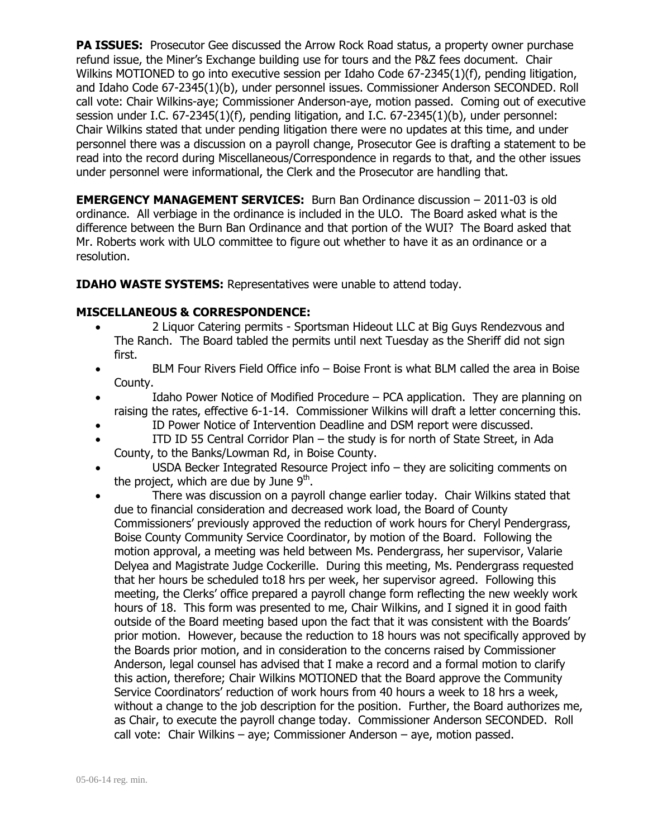**PA ISSUES:** Prosecutor Gee discussed the Arrow Rock Road status, a property owner purchase refund issue, the Miner's Exchange building use for tours and the P&Z fees document. Chair Wilkins MOTIONED to go into executive session per Idaho Code 67-2345(1)(f), pending litigation, and Idaho Code 67-2345(1)(b), under personnel issues. Commissioner Anderson SECONDED. Roll call vote: Chair Wilkins-aye; Commissioner Anderson-aye, motion passed. Coming out of executive session under I.C. 67-2345(1)(f), pending litigation, and I.C. 67-2345(1)(b), under personnel: Chair Wilkins stated that under pending litigation there were no updates at this time, and under personnel there was a discussion on a payroll change, Prosecutor Gee is drafting a statement to be read into the record during Miscellaneous/Correspondence in regards to that, and the other issues under personnel were informational, the Clerk and the Prosecutor are handling that.

**EMERGENCY MANAGEMENT SERVICES:** Burn Ban Ordinance discussion – 2011-03 is old ordinance. All verbiage in the ordinance is included in the ULO. The Board asked what is the difference between the Burn Ban Ordinance and that portion of the WUI? The Board asked that Mr. Roberts work with ULO committee to figure out whether to have it as an ordinance or a resolution.

**IDAHO WASTE SYSTEMS:** Representatives were unable to attend today.

## **MISCELLANEOUS & CORRESPONDENCE:**

- 2 Liquor Catering permits Sportsman Hideout LLC at Big Guys Rendezvous and The Ranch. The Board tabled the permits until next Tuesday as the Sheriff did not sign first.
- BLM Four Rivers Field Office info Boise Front is what BLM called the area in Boise County.
- Idaho Power Notice of Modified Procedure PCA application. They are planning on raising the rates, effective 6-1-14. Commissioner Wilkins will draft a letter concerning this.
- ID Power Notice of Intervention Deadline and DSM report were discussed.
- ITD ID 55 Central Corridor Plan the study is for north of State Street, in Ada County, to the Banks/Lowman Rd, in Boise County.
- USDA Becker Integrated Resource Project info they are soliciting comments on the project, which are due by June 9<sup>th</sup>.
- There was discussion on a payroll change earlier today. Chair Wilkins stated that due to financial consideration and decreased work load, the Board of County Commissioners' previously approved the reduction of work hours for Cheryl Pendergrass, Boise County Community Service Coordinator, by motion of the Board. Following the motion approval, a meeting was held between Ms. Pendergrass, her supervisor, Valarie Delyea and Magistrate Judge Cockerille. During this meeting, Ms. Pendergrass requested that her hours be scheduled to18 hrs per week, her supervisor agreed. Following this meeting, the Clerks' office prepared a payroll change form reflecting the new weekly work hours of 18. This form was presented to me, Chair Wilkins, and I signed it in good faith outside of the Board meeting based upon the fact that it was consistent with the Boards' prior motion. However, because the reduction to 18 hours was not specifically approved by the Boards prior motion, and in consideration to the concerns raised by Commissioner Anderson, legal counsel has advised that I make a record and a formal motion to clarify this action, therefore; Chair Wilkins MOTIONED that the Board approve the Community Service Coordinators' reduction of work hours from 40 hours a week to 18 hrs a week, without a change to the job description for the position. Further, the Board authorizes me, as Chair, to execute the payroll change today. Commissioner Anderson SECONDED. Roll call vote: Chair Wilkins – aye; Commissioner Anderson – aye, motion passed.